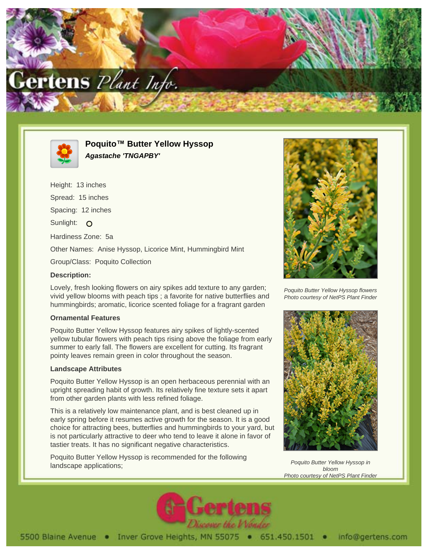



**Poquito™ Butter Yellow Hyssop Agastache 'TNGAPBY'**

Height: 13 inches Spread: 15 inches Spacing: 12 inches Sunlight: O Hardiness Zone: 5a Other Names: Anise Hyssop, Licorice Mint, Hummingbird Mint Group/Class: Poquito Collection **Description:**

Lovely, fresh looking flowers on airy spikes add texture to any garden; vivid yellow blooms with peach tips ; a favorite for native butterflies and hummingbirds; aromatic, licorice scented foliage for a fragrant garden

## **Ornamental Features**

Poquito Butter Yellow Hyssop features airy spikes of lightly-scented yellow tubular flowers with peach tips rising above the foliage from early summer to early fall. The flowers are excellent for cutting. Its fragrant pointy leaves remain green in color throughout the season.

## **Landscape Attributes**

Poquito Butter Yellow Hyssop is an open herbaceous perennial with an upright spreading habit of growth. Its relatively fine texture sets it apart from other garden plants with less refined foliage.

This is a relatively low maintenance plant, and is best cleaned up in early spring before it resumes active growth for the season. It is a good choice for attracting bees, butterflies and hummingbirds to your yard, but is not particularly attractive to deer who tend to leave it alone in favor of tastier treats. It has no significant negative characteristics.

Poquito Butter Yellow Hyssop is recommended for the following landscape applications;



Poquito Butter Yellow Hyssop flowers Photo courtesy of NetPS Plant Finder



Poquito Butter Yellow Hyssop in bloom Photo courtesy of NetPS Plant Finder